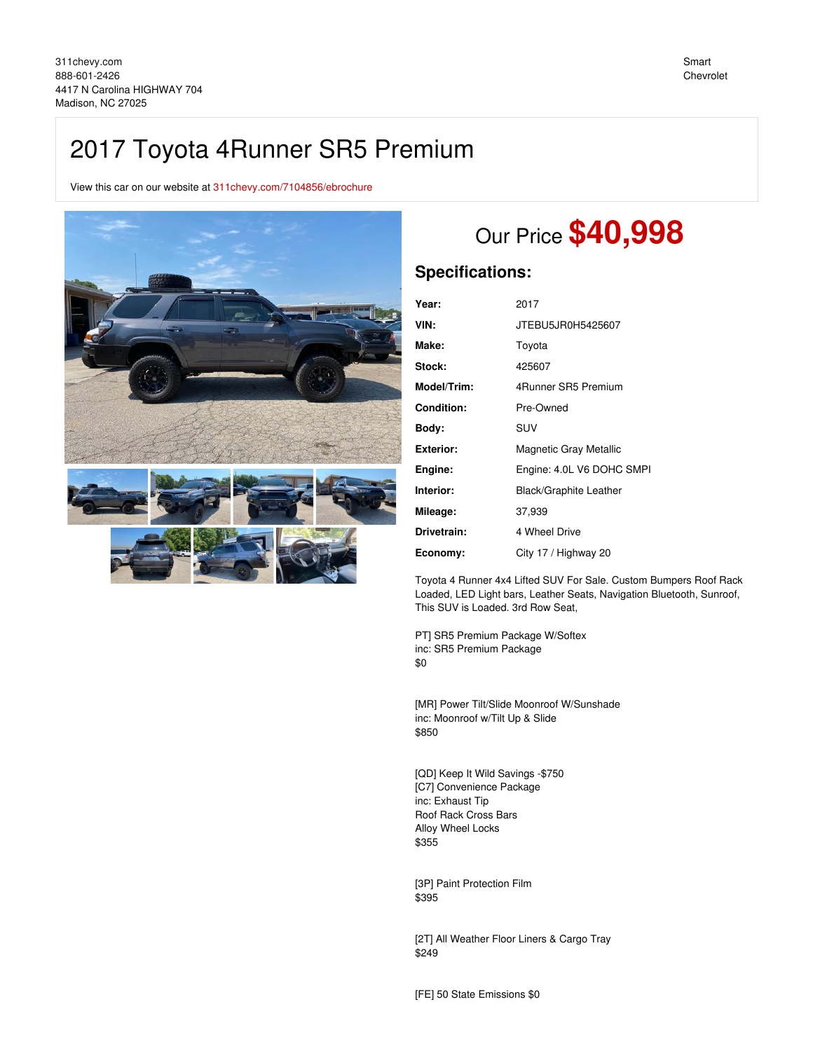## 2017 Toyota 4Runner SR5 Premium

View this car on our website at [311chevy.com/7104856/ebrochure](https://311chevy.com/vehicle/7104856/2017-toyota-4runner-sr5-premium-madison-nc-27025/7104856/ebrochure)





# Our Price **\$40,998**

### **Specifications:**

| Year:            | 2017                          |
|------------------|-------------------------------|
| VIN:             | JTEBU5JR0H5425607             |
| Make:            | Toyota                        |
| Stock:           | 425607                        |
| Model/Trim:      | 4Runner SR5 Premium           |
| Condition:       | Pre-Owned                     |
| Body:            | SUV                           |
| <b>Exterior:</b> | Magnetic Gray Metallic        |
| Engine:          | Engine: 4.0L V6 DOHC SMPI     |
| Interior:        | <b>Black/Graphite Leather</b> |
| Mileage:         | 37,939                        |
| Drivetrain:      | 4 Wheel Drive                 |
| Economy:         | City 17 / Highway 20          |
|                  |                               |

Toyota 4 Runner 4x4 Lifted SUV For Sale. Custom Bumpers Roof Rack Loaded, LED Light bars, Leather Seats, Navigation Bluetooth, Sunroof, This SUV is Loaded. 3rd Row Seat,

PT] SR5 Premium Package W/Softex inc: SR5 Premium Package \$0

[MR] Power Tilt/Slide Moonroof W/Sunshade inc: Moonroof w/Tilt Up & Slide \$850

[QD] Keep It Wild Savings -\$750 [C7] Convenience Package inc: Exhaust Tip Roof Rack Cross Bars Alloy Wheel Locks \$355

[3P] Paint Protection Film \$395

[2T] All Weather Floor Liners & Cargo Tray \$249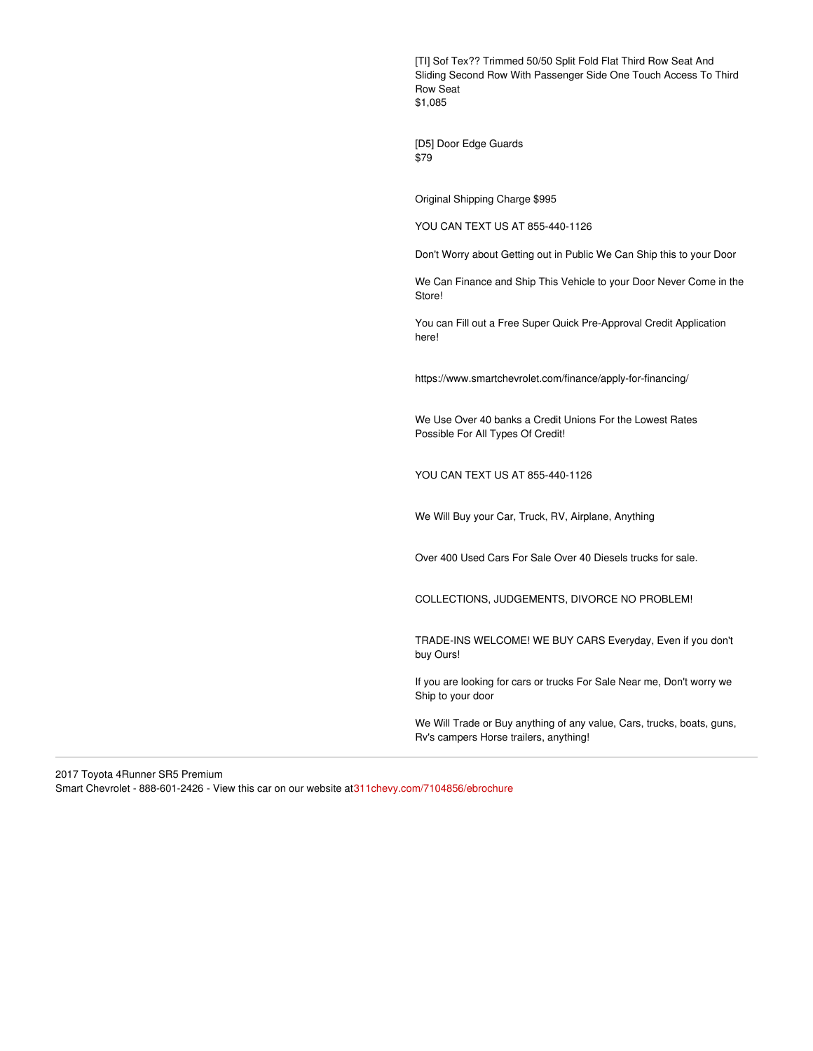[TI] Sof Tex?? Trimmed 50/50 Split Fold Flat Third Row Seat And Sliding Second Row With Passenger Side One Touch Access To Third Row Seat \$1,085

[D5] Door Edge Guards \$79

Original Shipping Charge \$995

YOU CAN TEXT US AT 855-440-1126

Don't Worry about Getting out in Public We Can Ship this to your Door

We Can Finance and Ship This Vehicle to your Door Never Come in the Store!

You can Fill out a Free Super Quick Pre-Approval Credit Application here!

https://www.smartchevrolet.com/finance/apply-for-financing/

We Use Over 40 banks a Credit Unions For the Lowest Rates Possible For All Types Of Credit!

YOU CAN TEXT US AT 855-440-1126

We Will Buy your Car, Truck, RV, Airplane, Anything

Over 400 Used Cars For Sale Over 40 Diesels trucks for sale.

COLLECTIONS, JUDGEMENTS, DIVORCE NO PROBLEM!

TRADE-INS WELCOME! WE BUY CARS Everyday, Even if you don't buy Ours!

If you are looking for cars or trucks For Sale Near me, Don't worry we Ship to your door

We Will Trade or Buy anything of any value, Cars, trucks, boats, guns, Rv's campers Horse trailers, anything!

2017 Toyota 4Runner SR5 Premium Smart Chevrolet - 888-601-2426 - View this car on our website a[t311chevy.com/7104856/ebrochure](https://311chevy.com/vehicle/7104856/2017-toyota-4runner-sr5-premium-madison-nc-27025/7104856/ebrochure)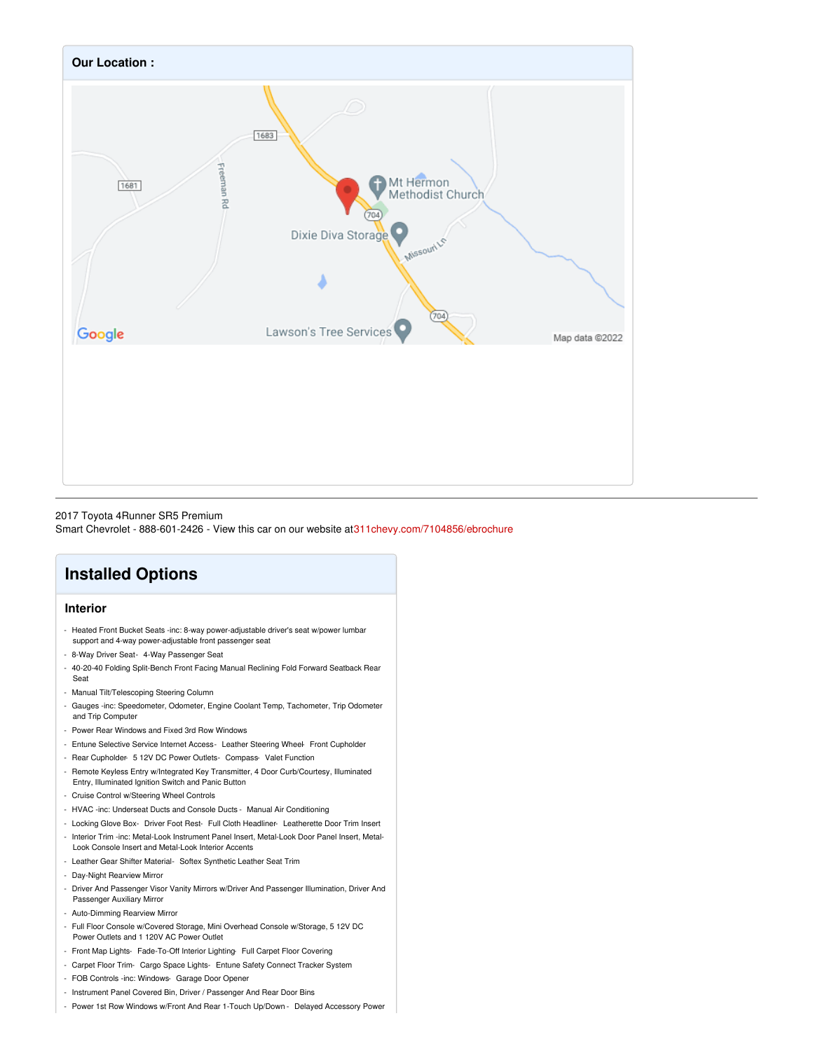

#### 2017 Toyota 4Runner SR5 Premium

Smart Chevrolet - 888-601-2426 - View this car on our website a[t311chevy.com/7104856/ebrochure](https://311chevy.com/vehicle/7104856/2017-toyota-4runner-sr5-premium-madison-nc-27025/7104856/ebrochure)

## **Installed Options**

### **Interior**

- Heated Front Bucket Seats -inc: 8-way power-adjustable driver's seat w/power lumbar support and 4-way power-adjustable front passenger seat
- 8-Way Driver Seat- 4-Way Passenger Seat
- 40-20-40 Folding Split-Bench Front Facing Manual Reclining Fold Forward Seatback Rear Seat
- Manual Tilt/Telescoping Steering Column
- Gauges -inc: Speedometer, Odometer, Engine Coolant Temp, Tachometer, Trip Odometer and Trip Computer
- Power Rear Windows and Fixed 3rd Row Windows
- Entune Selective Service Internet Access- Leather Steering Wheel- Front Cupholder
- Rear Cupholder- 5 12V DC Power Outlets- Compass- Valet Function
- Remote Keyless Entry w/Integrated Key Transmitter, 4 Door Curb/Courtesy, Illuminated Entry, Illuminated Ignition Switch and Panic Button
- Cruise Control w/Steering Wheel Controls
- HVAC -inc: Underseat Ducts and Console Ducts Manual Air Conditioning
- Locking Glove Box- Driver Foot Rest- Full Cloth Headliner- Leatherette Door Trim Insert
- Interior Trim -inc: Metal-Look Instrument Panel Insert, Metal-Look Door Panel Insert, Metal-Look Console Insert and Metal-Look Interior Accents
- Leather Gear Shifter Material- Softex Synthetic Leather Seat Trim
- Day-Night Rearview Mirror
- Driver And Passenger Visor Vanity Mirrors w/Driver And Passenger Illumination, Driver And Passenger Auxiliary Mirror
- Auto-Dimming Rearview Mirror
- Full Floor Console w/Covered Storage, Mini Overhead Console w/Storage, 5 12V DC Power Outlets and 1 120V AC Power Outlet
- Front Map Lights- Fade-To-Off Interior Lighting- Full Carpet Floor Covering
- Carpet Floor Trim- Cargo Space Lights- Entune Safety Connect Tracker System
- FOB Controls -inc: Windows- Garage Door Opener
- Instrument Panel Covered Bin, Driver / Passenger And Rear Door Bins
- Power 1st Row Windows w/Front And Rear 1-Touch Up/Down Delayed Accessory Power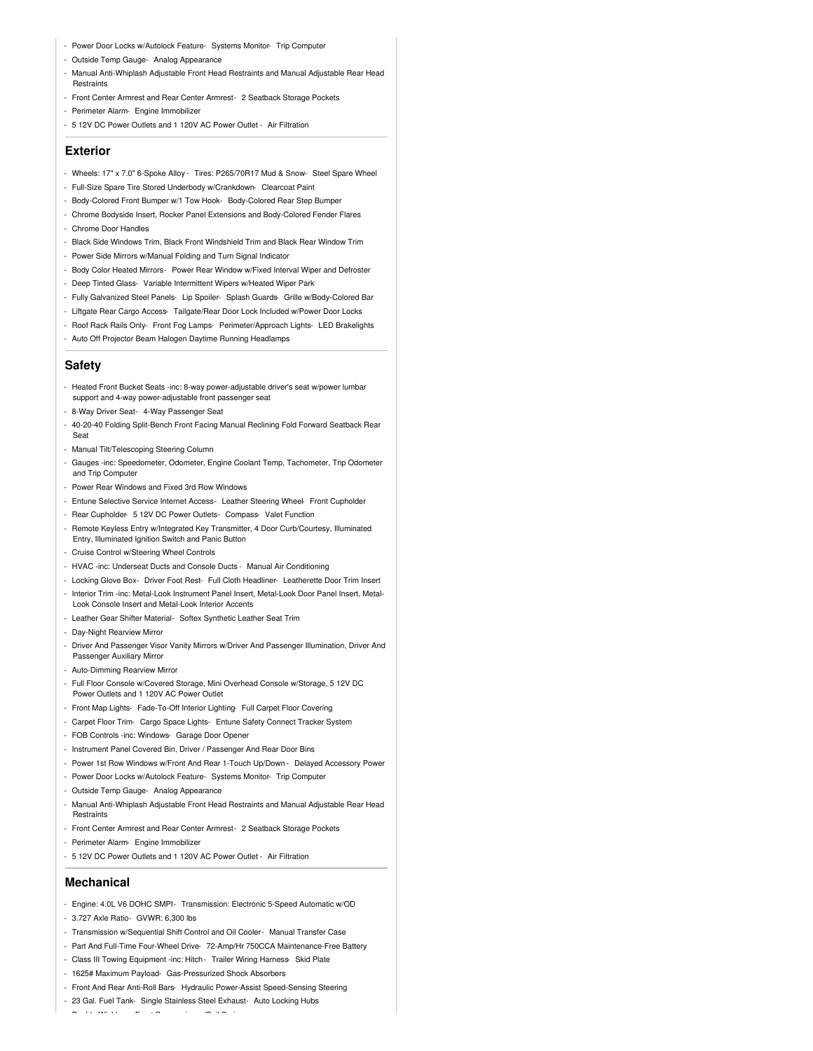- Power Door Locks w/Autolock Feature- Systems Monitor- Trip Computer
- Outside Temp Gauge- Analog Appearance
- Manual Anti-Whiplash Adjustable Front Head Restraints and Manual Adjustable Rear Head Restraints
- Front Center Armrest and Rear Center Armrest- 2 Seatback Storage Pockets
- Perimeter Alarm- Engine Immobilizer
- 5 12V DC Power Outlets and 1 120V AC Power Outlet Air Filtration

#### **Exterior**

- Wheels: 17" x 7.0" 6-Spoke Alloy Tires: P265/70R17 Mud & Snow- Steel Spare Wheel
- Full-Size Spare Tire Stored Underbody w/Crankdown- Clearcoat Paint
- Body-Colored Front Bumper w/1 Tow Hook- Body-Colored Rear Step Bumper
- Chrome Bodyside Insert, Rocker Panel Extensions and Body-Colored Fender Flares - Chrome Door Handles
- Black Side Windows Trim, Black Front Windshield Trim and Black Rear Window Trim
- Power Side Mirrors w/Manual Folding and Turn Signal Indicator
- Body Color Heated Mirrors- Power Rear Window w/Fixed Interval Wiper and Defroster
- Deep Tinted Glass- Variable Intermittent Wipers w/Heated Wiper Park
- Fully Galvanized Steel Panels- Lip Spoiler- Splash Guards- Grille w/Body-Colored Bar
- Liftgate Rear Cargo Access- Tailgate/Rear Door Lock Included w/Power Door Locks
- Roof Rack Rails Only- Front Fog Lamps- Perimeter/Approach Lights- LED Brakelights
- Auto Off Projector Beam Halogen Daytime Running Headlamps

### **Safety**

- Heated Front Bucket Seats -inc: 8-way power-adjustable driver's seat w/power lumbar support and 4-way power-adjustable front passenger seat
- 8-Way Driver Seat- 4-Way Passenger Seat
- 40-20-40 Folding Split-Bench Front Facing Manual Reclining Fold Forward Seatback Rear Seat
- Manual Tilt/Telescoping Steering Column
- Gauges -inc: Speedometer, Odometer, Engine Coolant Temp, Tachometer, Trip Odometer and Trip Computer
- Power Rear Windows and Fixed 3rd Row Windows
- Entune Selective Service Internet Access- Leather Steering Wheel- Front Cupholder
- Rear Cupholder- 5 12V DC Power Outlets- Compass- Valet Function
- Remote Keyless Entry w/Integrated Key Transmitter, 4 Door Curb/Courtesy, Illuminated Entry, Illuminated Ignition Switch and Panic Button
- Cruise Control w/Steering Wheel Controls
- HVAC -inc: Underseat Ducts and Console Ducts Manual Air Conditioning
- Locking Glove Box- Driver Foot Rest- Full Cloth Headliner- Leatherette Door Trim Insert
- Interior Trim -inc: Metal-Look Instrument Panel Insert, Metal-Look Door Panel Insert, Metal-Look Console Insert and Metal-Look Interior Accents
- Leather Gear Shifter Material- Softex Synthetic Leather Seat Trim
- Day-Night Rearview Mirror
- Driver And Passenger Visor Vanity Mirrors w/Driver And Passenger Illumination, Driver And Passenger Auxiliary Mirror
- Auto-Dimming Rearview Mirror
- Full Floor Console w/Covered Storage, Mini Overhead Console w/Storage, 5 12V DC Power Outlets and 1 120V AC Power Outlet
- Front Map Lights- Fade-To-Off Interior Lighting- Full Carpet Floor Covering
- Carpet Floor Trim- Cargo Space Lights- Entune Safety Connect Tracker System
- FOB Controls -inc: Windows- Garage Door Opener
- Instrument Panel Covered Bin, Driver / Passenger And Rear Door Bins
- Power 1st Row Windows w/Front And Rear 1-Touch Up/Down Delayed Accessory Power
- Power Door Locks w/Autolock Feature- Systems Monitor- Trip Computer
- Outside Temp Gauge- Analog Appearance
- Manual Anti-Whiplash Adjustable Front Head Restraints and Manual Adjustable Rear Head **Restraints**
- Front Center Armrest and Rear Center Armrest- 2 Seatback Storage Pockets
- Perimeter Alarm- Engine Immobilizer
- 5 12V DC Power Outlets and 1 120V AC Power Outlet Air Filtration

### **Mechanical**

- Engine: 4.0L V6 DOHC SMPI- Transmission: Electronic 5-Speed Automatic w/OD
- 3.727 Axle Ratio- GVWR: 6,300 lbs
- Transmission w/Sequential Shift Control and Oil Cooler- Manual Transfer Case
- Part And Full-Time Four-Wheel Drive- 72-Amp/Hr 750CCA Maintenance-Free Battery
- Class III Towing Equipment -inc: Hitch Trailer Wiring Harness- Skid Plate
- 1625# Maximum Payload- Gas-Pressurized Shock Absorbers
- Front And Rear Anti-Roll Bars- Hydraulic Power-Assist Speed-Sensing Steering
- 23 Gal. Fuel Tank- Single Stainless Steel Exhaust- Auto Locking Hubs